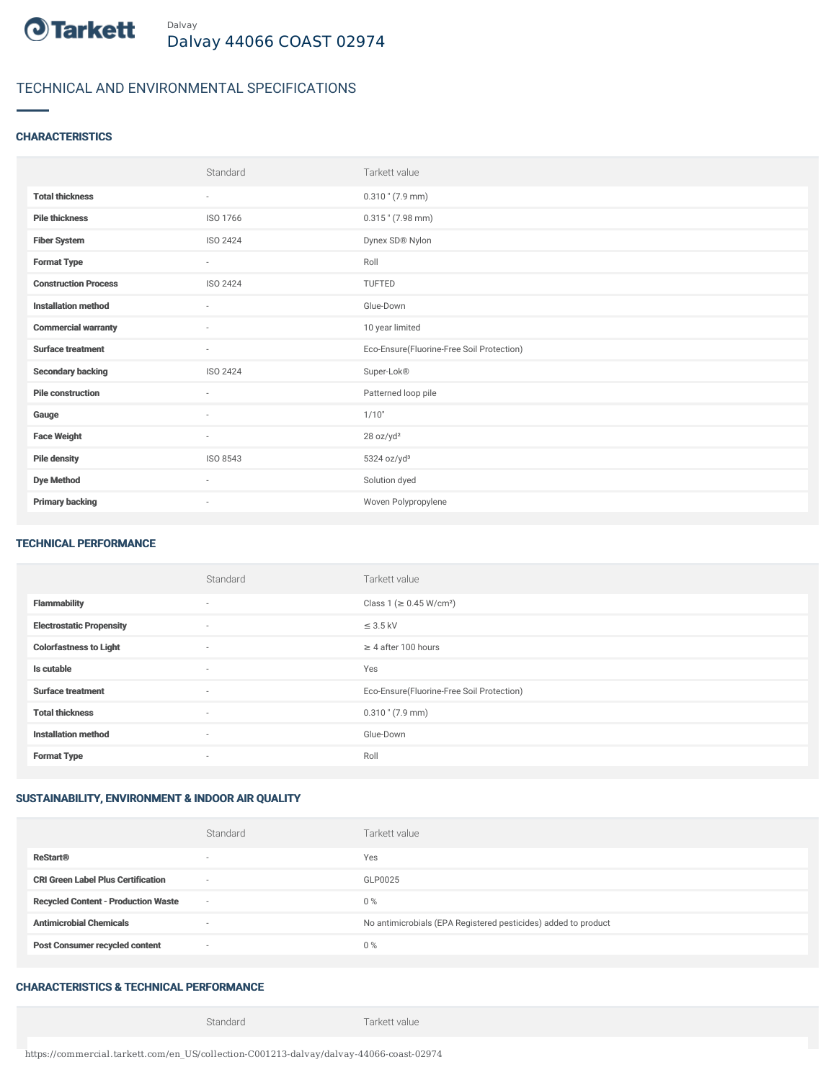

# TECHNICAL AND ENVIRONMENTAL SPECIFICATIONS

## **CHARACTERISTICS**

|                             | Standard  | Tarkett value                             |
|-----------------------------|-----------|-------------------------------------------|
| <b>Total thickness</b>      | $\sim$    | $0.310$ " (7.9 mm)                        |
| <b>Pile thickness</b>       | ISO 1766  | $0.315$ " (7.98 mm)                       |
| <b>Fiber System</b>         | ISO 2424  | Dynex SD® Nylon                           |
| <b>Format Type</b>          | ٠         | Roll                                      |
| <b>Construction Process</b> | ISO 2424  | <b>TUFTED</b>                             |
| <b>Installation method</b>  | $\bar{ }$ | Glue-Down                                 |
| <b>Commercial warranty</b>  | ٠         | 10 year limited                           |
| <b>Surface treatment</b>    | $\sim$    | Eco-Ensure(Fluorine-Free Soil Protection) |
| <b>Secondary backing</b>    | ISO 2424  | Super-Lok®                                |
| <b>Pile construction</b>    | ×.        | Patterned loop pile                       |
| Gauge                       | ٠         | 1/10"                                     |
| <b>Face Weight</b>          | $\sim$    | 28 oz/yd <sup>2</sup>                     |
| <b>Pile density</b>         | ISO 8543  | $5324$ oz/yd <sup>3</sup>                 |
| <b>Dye Method</b>           | $\sim$    | Solution dyed                             |
| <b>Primary backing</b>      | $\sim$    | Woven Polypropylene                       |

#### TECHNICAL PERFORMANCE

|                                 | Standard                 | Tarkett value                             |
|---------------------------------|--------------------------|-------------------------------------------|
| <b>Flammability</b>             | $\overline{\phantom{a}}$ | Class 1 ( $\geq$ 0.45 W/cm <sup>2</sup> ) |
| <b>Electrostatic Propensity</b> | $\overline{\phantom{a}}$ | $\leq$ 3.5 kV                             |
| <b>Colorfastness to Light</b>   | $\overline{\phantom{a}}$ | $\geq 4$ after 100 hours                  |
| Is cutable                      | $\overline{\phantom{a}}$ | Yes                                       |
| <b>Surface treatment</b>        | $\sim$                   | Eco-Ensure(Fluorine-Free Soil Protection) |
| <b>Total thickness</b>          | $\overline{\phantom{a}}$ | $0.310$ " (7.9 mm)                        |
| <b>Installation method</b>      | $\sim$                   | Glue-Down                                 |
| <b>Format Type</b>              | $\overline{\phantom{a}}$ | Roll                                      |

## SUSTAINABILITY, ENVIRONMENT & INDOOR AIR QUALITY

|                                            | Standard                 | Tarkett value                                                  |
|--------------------------------------------|--------------------------|----------------------------------------------------------------|
| <b>ReStart®</b>                            | $\overline{\phantom{a}}$ | Yes                                                            |
| <b>CRI Green Label Plus Certification</b>  | $\sim$                   | GLP0025                                                        |
| <b>Recycled Content - Production Waste</b> | $\sim$                   | $0\%$                                                          |
| <b>Antimicrobial Chemicals</b>             |                          | No antimicrobials (EPA Registered pesticides) added to product |
| <b>Post Consumer recycled content</b>      | $\sim$                   | $0\%$                                                          |

## CHARACTERISTICS & TECHNICAL PERFORMANCE

Standard Tarkett value